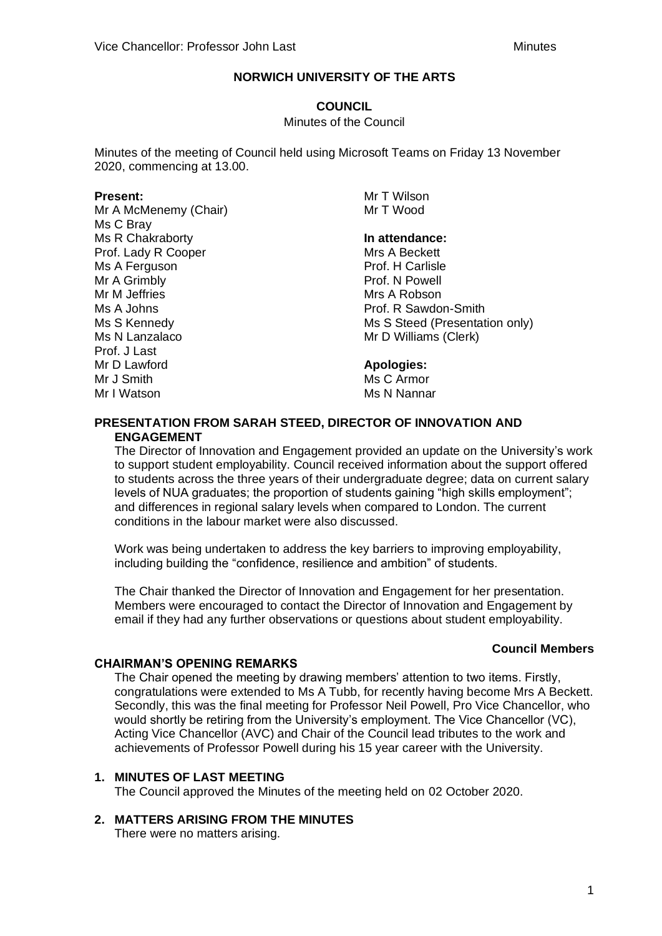### **COUNCIL**

#### Minutes of the Council

Minutes of the meeting of Council held using Microsoft Teams on Friday 13 November 2020, commencing at 13.00.

#### **Present:**

Mr A McMenemy (Chair) Ms C Bray Ms R Chakraborty Prof. Lady R Cooper Ms A Ferguson Mr A Grimbly Mr M Jeffries Ms A Johns Ms S Kennedy Ms N Lanzalaco Prof. J Last Mr D Lawford Mr J Smith Mr I Watson

Mr T Wilson Mr T Wood

## **In attendance:**

Mrs A Beckett Prof. H Carlisle Prof. N Powell Mrs A Robson Prof. R Sawdon-Smith Ms S Steed (Presentation only) Mr D Williams (Clerk)

### **Apologies:**

Ms C Armor Ms N Nannar

### **PRESENTATION FROM SARAH STEED, DIRECTOR OF INNOVATION AND ENGAGEMENT**

The Director of Innovation and Engagement provided an update on the University's work to support student employability. Council received information about the support offered to students across the three years of their undergraduate degree; data on current salary levels of NUA graduates; the proportion of students gaining "high skills employment"; and differences in regional salary levels when compared to London. The current conditions in the labour market were also discussed.

Work was being undertaken to address the key barriers to improving employability, including building the "confidence, resilience and ambition" of students.

The Chair thanked the Director of Innovation and Engagement for her presentation. Members were encouraged to contact the Director of Innovation and Engagement by email if they had any further observations or questions about student employability.

### **Council Members**

### **CHAIRMAN'S OPENING REMARKS**

The Chair opened the meeting by drawing members' attention to two items. Firstly, congratulations were extended to Ms A Tubb, for recently having become Mrs A Beckett. Secondly, this was the final meeting for Professor Neil Powell, Pro Vice Chancellor, who would shortly be retiring from the University's employment. The Vice Chancellor (VC), Acting Vice Chancellor (AVC) and Chair of the Council lead tributes to the work and achievements of Professor Powell during his 15 year career with the University.

### **1. MINUTES OF LAST MEETING**

The Council approved the Minutes of the meeting held on 02 October 2020.

### **2. MATTERS ARISING FROM THE MINUTES**

There were no matters arising.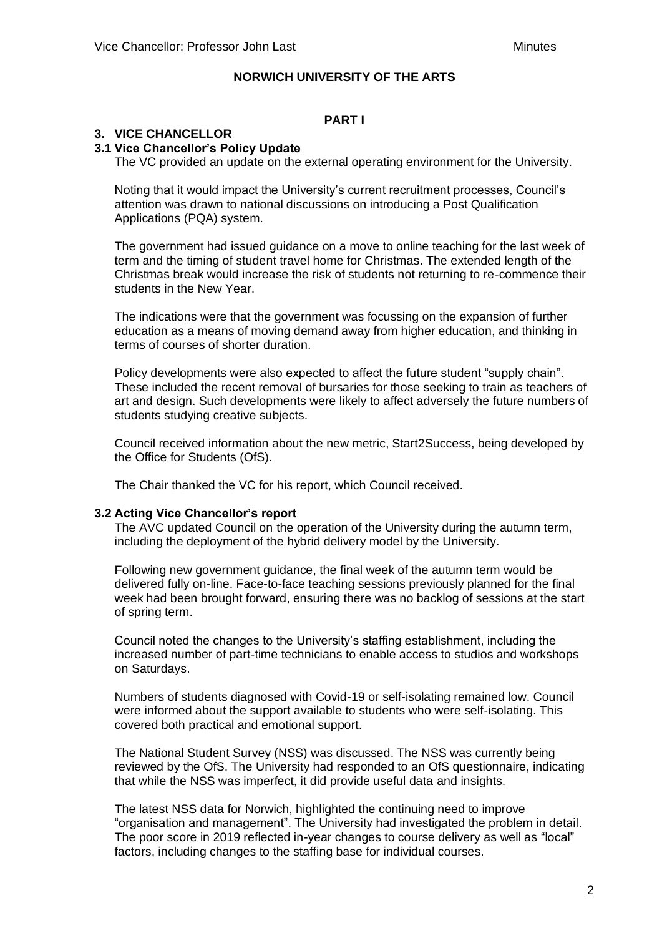## **PART I**

## **3. VICE CHANCELLOR**

## **3.1 Vice Chancellor's Policy Update**

The VC provided an update on the external operating environment for the University.

Noting that it would impact the University's current recruitment processes, Council's attention was drawn to national discussions on introducing a Post Qualification Applications (PQA) system.

The government had issued guidance on a move to online teaching for the last week of term and the timing of student travel home for Christmas. The extended length of the Christmas break would increase the risk of students not returning to re-commence their students in the New Year.

The indications were that the government was focussing on the expansion of further education as a means of moving demand away from higher education, and thinking in terms of courses of shorter duration.

Policy developments were also expected to affect the future student "supply chain". These included the recent removal of bursaries for those seeking to train as teachers of art and design. Such developments were likely to affect adversely the future numbers of students studying creative subjects.

Council received information about the new metric, Start2Success, being developed by the Office for Students (OfS).

The Chair thanked the VC for his report, which Council received.

#### **3.2 Acting Vice Chancellor's report**

The AVC updated Council on the operation of the University during the autumn term, including the deployment of the hybrid delivery model by the University.

Following new government guidance, the final week of the autumn term would be delivered fully on-line. Face-to-face teaching sessions previously planned for the final week had been brought forward, ensuring there was no backlog of sessions at the start of spring term.

Council noted the changes to the University's staffing establishment, including the increased number of part-time technicians to enable access to studios and workshops on Saturdays.

Numbers of students diagnosed with Covid-19 or self-isolating remained low. Council were informed about the support available to students who were self-isolating. This covered both practical and emotional support.

The National Student Survey (NSS) was discussed. The NSS was currently being reviewed by the OfS. The University had responded to an OfS questionnaire, indicating that while the NSS was imperfect, it did provide useful data and insights.

The latest NSS data for Norwich, highlighted the continuing need to improve "organisation and management". The University had investigated the problem in detail. The poor score in 2019 reflected in-year changes to course delivery as well as "local" factors, including changes to the staffing base for individual courses.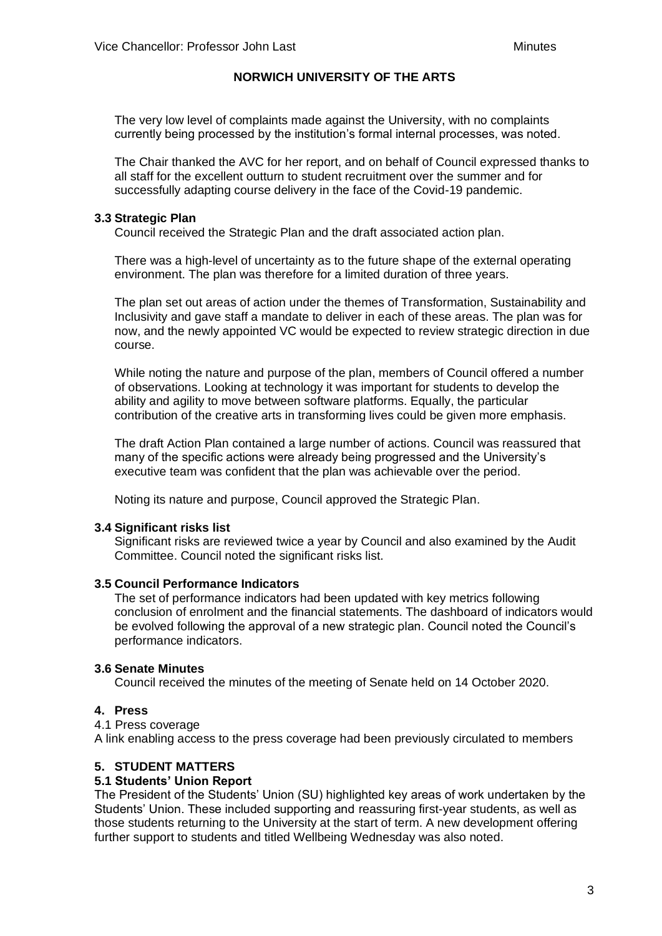The very low level of complaints made against the University, with no complaints currently being processed by the institution's formal internal processes, was noted.

The Chair thanked the AVC for her report, and on behalf of Council expressed thanks to all staff for the excellent outturn to student recruitment over the summer and for successfully adapting course delivery in the face of the Covid-19 pandemic.

### **3.3 Strategic Plan**

Council received the Strategic Plan and the draft associated action plan.

There was a high-level of uncertainty as to the future shape of the external operating environment. The plan was therefore for a limited duration of three years.

The plan set out areas of action under the themes of Transformation, Sustainability and Inclusivity and gave staff a mandate to deliver in each of these areas. The plan was for now, and the newly appointed VC would be expected to review strategic direction in due course.

While noting the nature and purpose of the plan, members of Council offered a number of observations. Looking at technology it was important for students to develop the ability and agility to move between software platforms. Equally, the particular contribution of the creative arts in transforming lives could be given more emphasis.

The draft Action Plan contained a large number of actions. Council was reassured that many of the specific actions were already being progressed and the University's executive team was confident that the plan was achievable over the period.

Noting its nature and purpose, Council approved the Strategic Plan.

### **3.4 Significant risks list**

Significant risks are reviewed twice a year by Council and also examined by the Audit Committee. Council noted the significant risks list.

### **3.5 Council Performance Indicators**

The set of performance indicators had been updated with key metrics following conclusion of enrolment and the financial statements. The dashboard of indicators would be evolved following the approval of a new strategic plan. Council noted the Council's performance indicators.

### **3.6 Senate Minutes**

Council received the minutes of the meeting of Senate held on 14 October 2020.

### **4. Press**

4.1 Press coverage

A link enabling access to the press coverage had been previously circulated to members

### **5. STUDENT MATTERS**

### **5.1 Students' Union Report**

The President of the Students' Union (SU) highlighted key areas of work undertaken by the Students' Union. These included supporting and reassuring first-year students, as well as those students returning to the University at the start of term. A new development offering further support to students and titled Wellbeing Wednesday was also noted.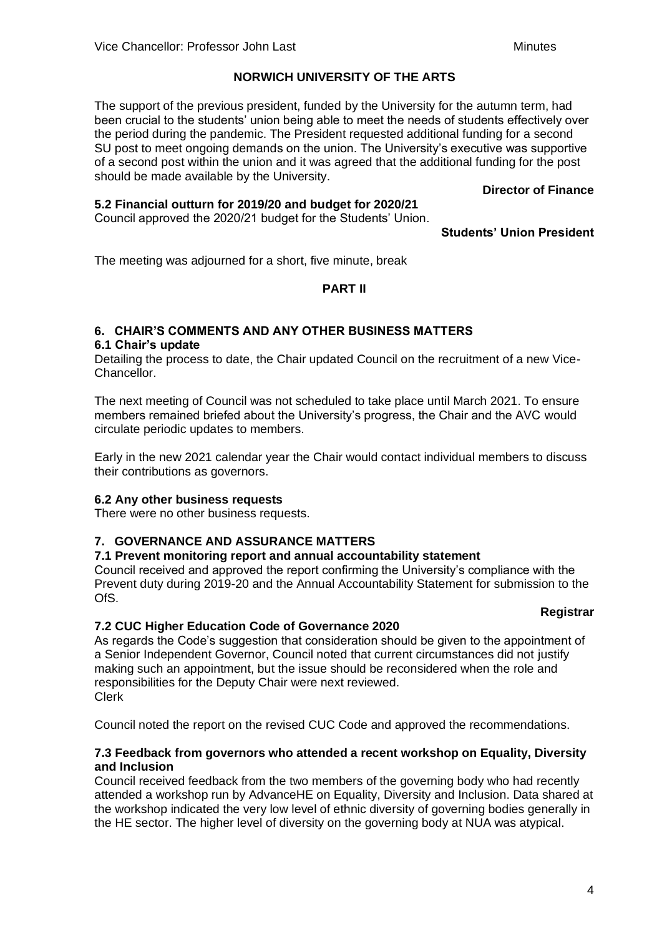The support of the previous president, funded by the University for the autumn term, had been crucial to the students' union being able to meet the needs of students effectively over the period during the pandemic. The President requested additional funding for a second SU post to meet ongoing demands on the union. The University's executive was supportive of a second post within the union and it was agreed that the additional funding for the post should be made available by the University.

**Director of Finance**

### **5.2 Financial outturn for 2019/20 and budget for 2020/21**

Council approved the 2020/21 budget for the Students' Union.

**Students' Union President**

The meeting was adjourned for a short, five minute, break

### **PART II**

# **6. CHAIR'S COMMENTS AND ANY OTHER BUSINESS MATTERS**

### **6.1 Chair's update**

Detailing the process to date, the Chair updated Council on the recruitment of a new Vice-Chancellor.

The next meeting of Council was not scheduled to take place until March 2021. To ensure members remained briefed about the University's progress, the Chair and the AVC would circulate periodic updates to members.

Early in the new 2021 calendar year the Chair would contact individual members to discuss their contributions as governors.

### **6.2 Any other business requests**

There were no other business requests.

## **7. GOVERNANCE AND ASSURANCE MATTERS**

### **7.1 Prevent monitoring report and annual accountability statement**

Council received and approved the report confirming the University's compliance with the Prevent duty during 2019-20 and the Annual Accountability Statement for submission to the OfS.

### **Registrar**

## **7.2 CUC Higher Education Code of Governance 2020**

As regards the Code's suggestion that consideration should be given to the appointment of a Senior Independent Governor, Council noted that current circumstances did not justify making such an appointment, but the issue should be reconsidered when the role and responsibilities for the Deputy Chair were next reviewed. Clerk

Council noted the report on the revised CUC Code and approved the recommendations.

### **7.3 Feedback from governors who attended a recent workshop on Equality, Diversity and Inclusion**

Council received feedback from the two members of the governing body who had recently attended a workshop run by AdvanceHE on Equality, Diversity and Inclusion. Data shared at the workshop indicated the very low level of ethnic diversity of governing bodies generally in the HE sector. The higher level of diversity on the governing body at NUA was atypical.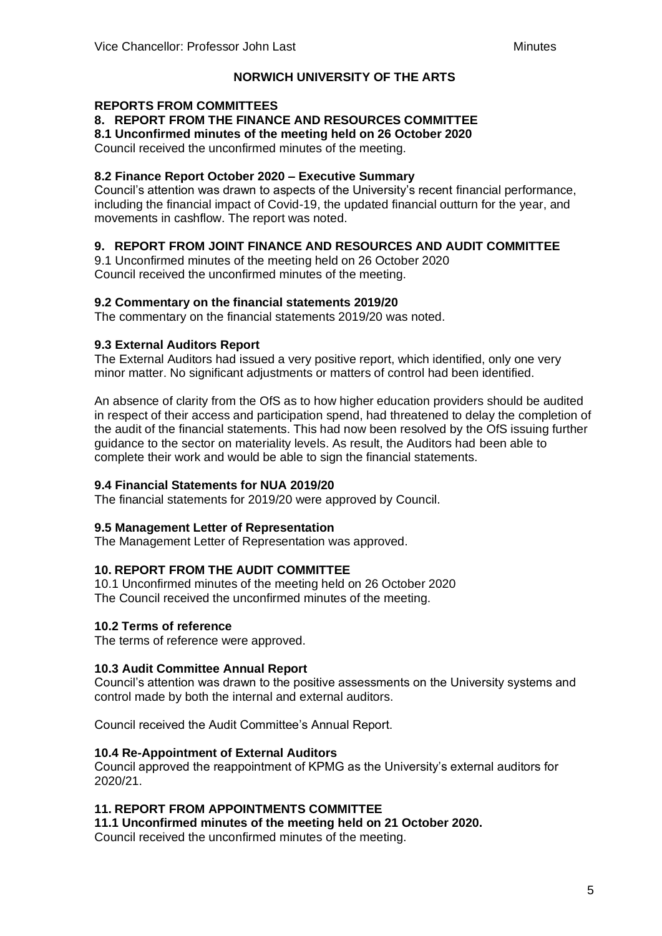### **REPORTS FROM COMMITTEES**

**8. REPORT FROM THE FINANCE AND RESOURCES COMMITTEE**

**8.1 Unconfirmed minutes of the meeting held on 26 October 2020**

Council received the unconfirmed minutes of the meeting.

### **8.2 Finance Report October 2020 – Executive Summary**

Council's attention was drawn to aspects of the University's recent financial performance, including the financial impact of Covid-19, the updated financial outturn for the year, and movements in cashflow. The report was noted.

### **9. REPORT FROM JOINT FINANCE AND RESOURCES AND AUDIT COMMITTEE**

9.1 Unconfirmed minutes of the meeting held on 26 October 2020 Council received the unconfirmed minutes of the meeting.

#### **9.2 Commentary on the financial statements 2019/20**

The commentary on the financial statements 2019/20 was noted.

#### **9.3 External Auditors Report**

The External Auditors had issued a very positive report, which identified, only one very minor matter. No significant adjustments or matters of control had been identified.

An absence of clarity from the OfS as to how higher education providers should be audited in respect of their access and participation spend, had threatened to delay the completion of the audit of the financial statements. This had now been resolved by the OfS issuing further guidance to the sector on materiality levels. As result, the Auditors had been able to complete their work and would be able to sign the financial statements.

### **9.4 Financial Statements for NUA 2019/20**

The financial statements for 2019/20 were approved by Council.

#### **9.5 Management Letter of Representation**

The Management Letter of Representation was approved.

### **10. REPORT FROM THE AUDIT COMMITTEE**

10.1 Unconfirmed minutes of the meeting held on 26 October 2020 The Council received the unconfirmed minutes of the meeting.

#### **10.2 Terms of reference**

The terms of reference were approved.

#### **10.3 Audit Committee Annual Report**

Council's attention was drawn to the positive assessments on the University systems and control made by both the internal and external auditors.

Council received the Audit Committee's Annual Report.

#### **10.4 Re-Appointment of External Auditors**

Council approved the reappointment of KPMG as the University's external auditors for 2020/21.

### **11. REPORT FROM APPOINTMENTS COMMITTEE**

#### **11.1 Unconfirmed minutes of the meeting held on 21 October 2020.**

Council received the unconfirmed minutes of the meeting.